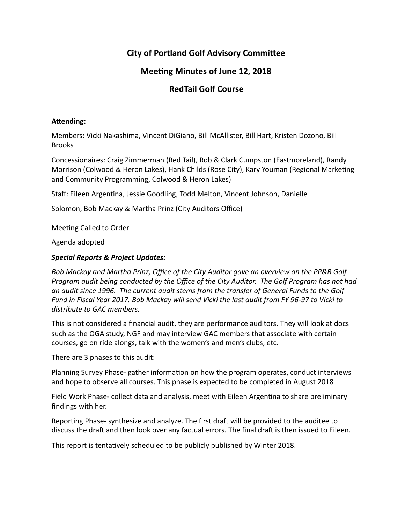# **City of Portland Golf Advisory Committee**

# **Meeting Minutes of June 12, 2018**

# **RedTail Golf Course**

#### Attending:

Members: Vicki Nakashima, Vincent DiGiano, Bill McAllister, Bill Hart, Kristen Dozono, Bill Brooks

Concessionaires: Craig Zimmerman (Red Tail), Rob & Clark Cumpston (Eastmoreland), Randy Morrison (Colwood & Heron Lakes), Hank Childs (Rose City), Kary Youman (Regional Marketing and Community Programming, Colwood & Heron Lakes)

Staff: Eileen Argentina, Jessie Goodling, Todd Melton, Vincent Johnson, Danielle

Solomon, Bob Mackay & Martha Prinz (City Auditors Office)

Meeting Called to Order

Agenda adopted 

## *Special Reports & Project Updates:*

Bob Mackay and Martha Prinz, Office of the City Auditor gave an overview on the PP&R Golf *Program audit being conducted by the Office of the City Auditor. The Golf Program has not had* an audit since 1996. The current audit stems from the transfer of General Funds to the Golf Fund in Fiscal Year 2017. Bob Mackay will send Vicki the last audit from FY 96-97 to Vicki to distribute to GAC members.

This is not considered a financial audit, they are performance auditors. They will look at docs such as the OGA study, NGF and may interview GAC members that associate with certain courses, go on ride alongs, talk with the women's and men's clubs, etc.

There are 3 phases to this audit:

Planning Survey Phase- gather information on how the program operates, conduct interviews and hope to observe all courses. This phase is expected to be completed in August 2018

Field Work Phase- collect data and analysis, meet with Eileen Argentina to share preliminary findings with her.

Reporting Phase- synthesize and analyze. The first draft will be provided to the auditee to discuss the draft and then look over any factual errors. The final draft is then issued to Eileen.

This report is tentatively scheduled to be publicly published by Winter 2018.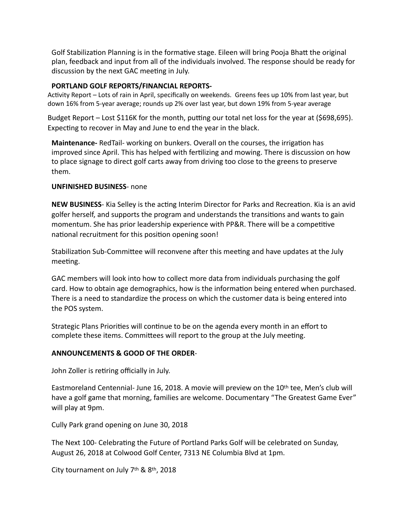Golf Stabilization Planning is in the formative stage. Eileen will bring Pooja Bhatt the original plan, feedback and input from all of the individuals involved. The response should be ready for discussion by the next GAC meeting in July.

### **PORTLAND GOLF REPORTS/FINANCIAL REPORTS-**

Activity Report - Lots of rain in April, specifically on weekends. Greens fees up 10% from last year, but down 16% from 5-year average; rounds up 2% over last year, but down 19% from 5-year average

Budget Report – Lost \$116K for the month, putting our total net loss for the year at (\$698,695). Expecting to recover in May and June to end the year in the black.

**Maintenance-** RedTail- working on bunkers. Overall on the courses, the irrigation has improved since April. This has helped with fertilizing and mowing. There is discussion on how to place signage to direct golf carts away from driving too close to the greens to preserve them.

#### **UNFINISHED BUSINESS-** none

**NEW BUSINESS-** Kia Selley is the acting Interim Director for Parks and Recreation. Kia is an avid golfer herself, and supports the program and understands the transitions and wants to gain momentum. She has prior leadership experience with PP&R. There will be a competitive national recruitment for this position opening soon!

Stabilization Sub-Committee will reconvene after this meeting and have updates at the July meeting.

GAC members will look into how to collect more data from individuals purchasing the golf card. How to obtain age demographics, how is the information being entered when purchased. There is a need to standardize the process on which the customer data is being entered into the POS system.

Strategic Plans Priorities will continue to be on the agenda every month in an effort to complete these items. Committees will report to the group at the July meeting.

## **ANNOUNCEMENTS & GOOD OF THE ORDER**-

John Zoller is retiring officially in July.

Eastmoreland Centennial- June 16, 2018. A movie will preview on the  $10^{th}$  tee, Men's club will have a golf game that morning, families are welcome. Documentary "The Greatest Game Ever" will play at 9pm.

Cully Park grand opening on June 30, 2018

The Next 100- Celebrating the Future of Portland Parks Golf will be celebrated on Sunday, August 26, 2018 at Colwood Golf Center, 7313 NE Columbia Blvd at 1pm.

City tournament on July  $7<sup>th</sup>$  &  $8<sup>th</sup>$ , 2018